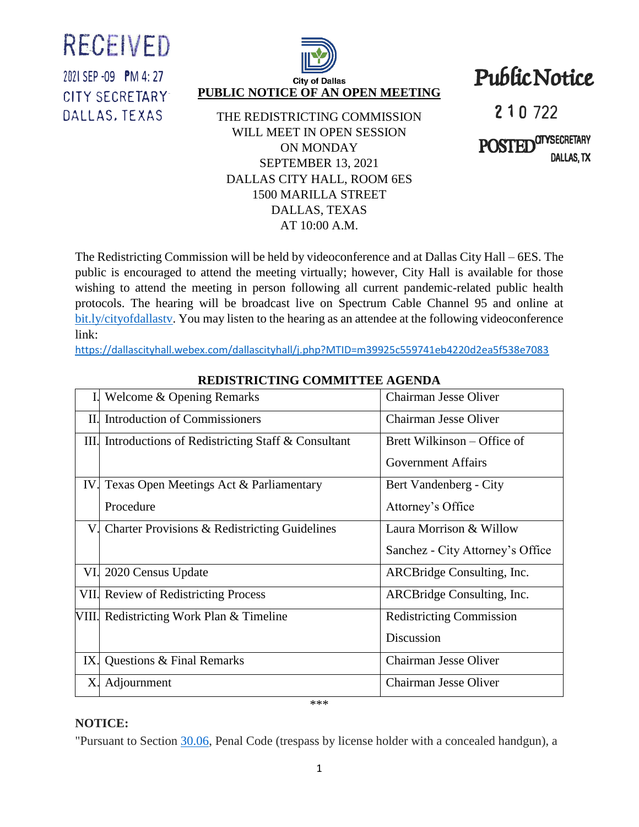RECEIVED

2021 SEP -09 PM 4: 27 CITY SECRETARY-DALLAS. TEXAS



1500 MARILLA STREET DALLAS, TEXAS AT 10:00 A.M.

Public Notice

210 722

**POSTEI CITYSECRETARY** DALLAS, TX

The Redistricting Commission will be held by videoconference and at Dallas City Hall – 6ES. The public is encouraged to attend the meeting virtually; however, City Hall is available for those wishing to attend the meeting in person following all current pandemic-related public health protocols. The hearing will be broadcast live on Spectrum Cable Channel 95 and online at [bit.ly/cityofdallastv.](http://www.bit.ly/cityofdallastv) You may listen to the hearing as an attendee at the following videoconference link:

<https://dallascityhall.webex.com/dallascityhall/j.php?MTID=m39925c559741eb4220d2ea5f538e7083>

|     | Welcome & Opening Remarks                              | Chairman Jesse Oliver            |
|-----|--------------------------------------------------------|----------------------------------|
| II. | <b>Introduction of Commissioners</b>                   | Chairman Jesse Oliver            |
|     | III. Introductions of Redistricting Staff & Consultant | Brett Wilkinson – Office of      |
|     |                                                        | <b>Government Affairs</b>        |
| IV. | Texas Open Meetings Act & Parliamentary                | Bert Vandenberg - City           |
|     | Procedure                                              | Attorney's Office                |
| V.  | Charter Provisions & Redistricting Guidelines          | Laura Morrison & Willow          |
|     |                                                        | Sanchez - City Attorney's Office |
| VI. | 2020 Census Update                                     | ARCBridge Consulting, Inc.       |
|     | <b>VII. Review of Redistricting Process</b>            | ARCBridge Consulting, Inc.       |
|     | VIII. Redistricting Work Plan & Timeline               | <b>Redistricting Commission</b>  |
|     |                                                        | Discussion                       |
| IX. | Questions & Final Remarks                              | Chairman Jesse Oliver            |
| Х.  | Adjournment                                            | Chairman Jesse Oliver            |
| *** |                                                        |                                  |

## **REDISTRICTING COMMITTEE AGENDA**

## **NOTICE:**

"Pursuant to Section [30.06,](http://www.statutes.legis.state.tx.us/Docs/PE/htm/PE.30.htm#30.06) Penal Code (trespass by license holder with a concealed handgun), a